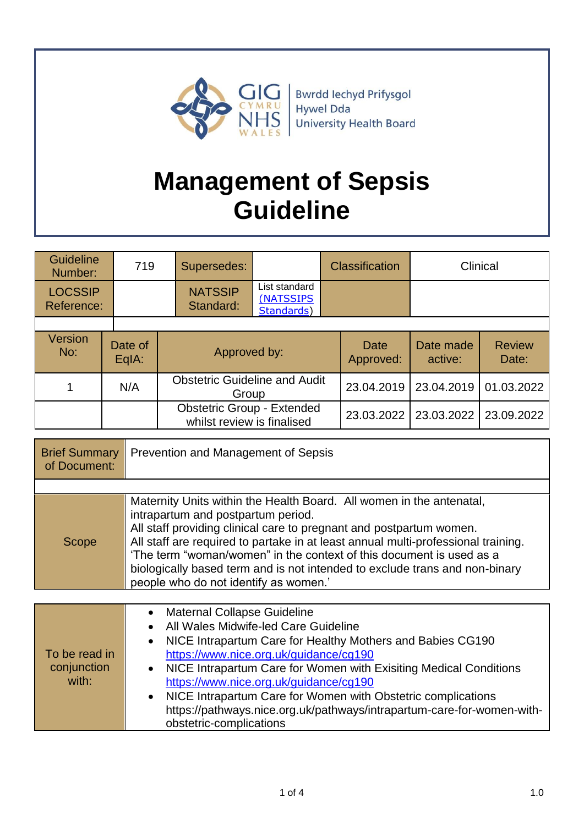

# **Management of Sepsis Guideline**

| <b>Guideline</b><br>Number:  | 719                |  | Supersedes:                                                     |                                          |  | <b>Classification</b> | Clinical             |                        |
|------------------------------|--------------------|--|-----------------------------------------------------------------|------------------------------------------|--|-----------------------|----------------------|------------------------|
| <b>LOCSSIP</b><br>Reference: |                    |  | <b>NATSSIP</b><br>Standard:                                     | List standard<br>(NATSSIPS<br>Standards) |  |                       |                      |                        |
|                              |                    |  |                                                                 |                                          |  |                       |                      |                        |
| <b>Version</b><br>No:        | Date of<br>$EqA$ : |  | Approved by:                                                    |                                          |  | Date<br>Approved:     | Date made<br>active: | <b>Review</b><br>Date: |
|                              | N/A                |  | <b>Obstetric Guideline and Audit</b><br>Group                   |                                          |  | 23.04.2019            | 23.04.2019           | 01.03.2022             |
|                              |                    |  | <b>Obstetric Group - Extended</b><br>whilst review is finalised |                                          |  | 23.03.2022            | 23.03.2022           | 23.09.2022             |

| <b>Brief Summary</b><br>of Document: | Prevention and Management of Sepsis                                                                                                                                                                                                                                                                                                                                                                                                                                    |
|--------------------------------------|------------------------------------------------------------------------------------------------------------------------------------------------------------------------------------------------------------------------------------------------------------------------------------------------------------------------------------------------------------------------------------------------------------------------------------------------------------------------|
|                                      |                                                                                                                                                                                                                                                                                                                                                                                                                                                                        |
| Scope                                | Maternity Units within the Health Board. All women in the antenatal,<br>intrapartum and postpartum period.<br>All staff providing clinical care to pregnant and postpartum women.<br>All staff are required to partake in at least annual multi-professional training.<br>'The term "woman/women" in the context of this document is used as a<br>biologically based term and is not intended to exclude trans and non-binary<br>people who do not identify as women.' |

| To be read in<br>conjunction<br>with: | <b>Maternal Collapse Guideline</b><br>$\bullet$<br>• All Wales Midwife-led Care Guideline<br>• NICE Intrapartum Care for Healthy Mothers and Babies CG190<br>https://www.nice.org.uk/guidance/cg190<br>• NICE Intrapartum Care for Women with Exisiting Medical Conditions<br>https://www.nice.org.uk/guidance/cg190<br>• NICE Intrapartum Care for Women with Obstetric complications<br>https://pathways.nice.org.uk/pathways/intrapartum-care-for-women-with-<br>obstetric-complications |
|---------------------------------------|---------------------------------------------------------------------------------------------------------------------------------------------------------------------------------------------------------------------------------------------------------------------------------------------------------------------------------------------------------------------------------------------------------------------------------------------------------------------------------------------|
|---------------------------------------|---------------------------------------------------------------------------------------------------------------------------------------------------------------------------------------------------------------------------------------------------------------------------------------------------------------------------------------------------------------------------------------------------------------------------------------------------------------------------------------------|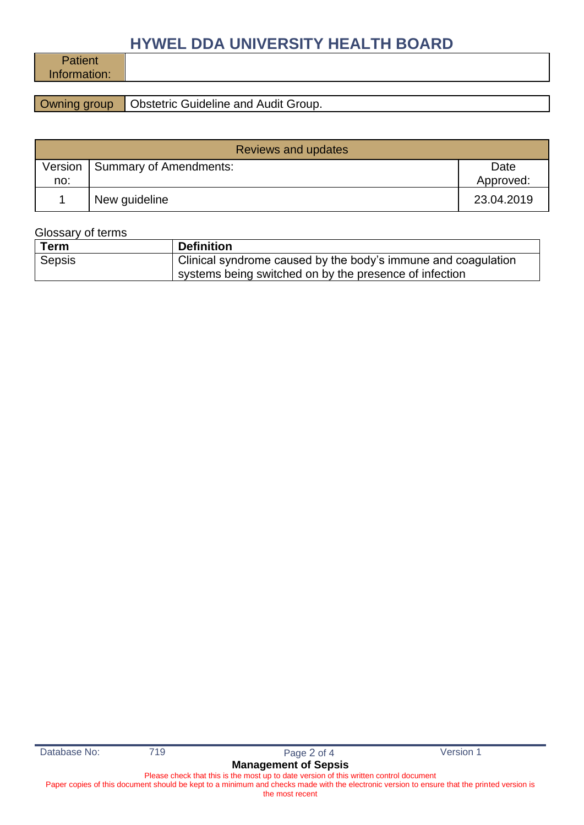## **HYWEL DDA UNIVERSITY HEALTH BOARD**

**Patient** Information:

**Owning group Obstetric Guideline and Audit Group.** 

| <b>Reviews and updates</b> |                        |                   |  |  |
|----------------------------|------------------------|-------------------|--|--|
| Version<br>no:             | Summary of Amendments: | Date<br>Approved: |  |  |
|                            | New guideline          | 23.04.2019        |  |  |

#### Glossary of terms

| Term   | <b>Definition</b>                                             |
|--------|---------------------------------------------------------------|
| Sepsis | Clinical syndrome caused by the body's immune and coagulation |
|        | systems being switched on by the presence of infection        |

Database No: 719 719 Page 2 of 4 Version 1

### **Management of Sepsis**

Please check that this is the most up to date version of this written control document Paper copies of this document should be kept to a minimum and checks made with the electronic version to ensure that the printed version is

the most recent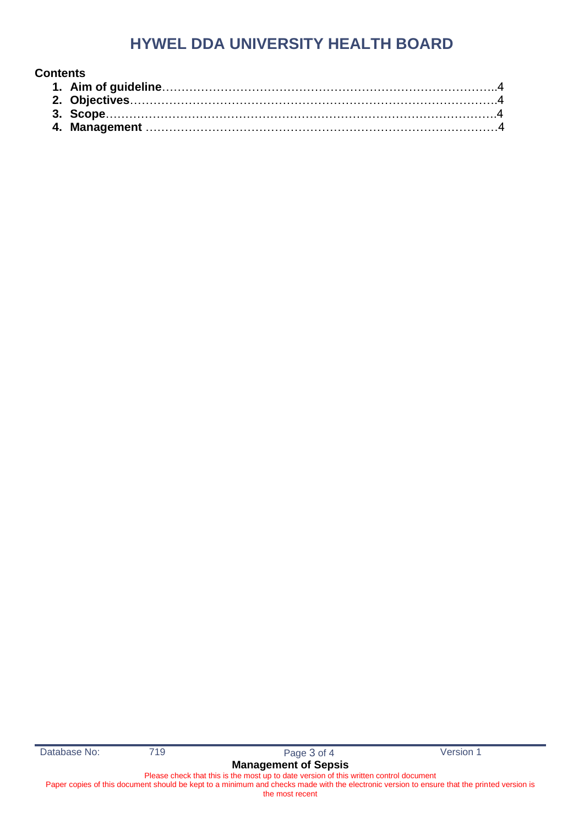### **HYWEL DDA UNIVERSITY HEALTH BOARD**

| <b>Contents</b> |  |
|-----------------|--|
|                 |  |
|                 |  |
|                 |  |
|                 |  |

Database No: 719 719 Page 3 of 4 Version 1

Please check that this is the most up to date version of this written control document Paper copies of this document should be kept to a minimum and checks made with the electronic version to ensure that the printed version is

the most recent